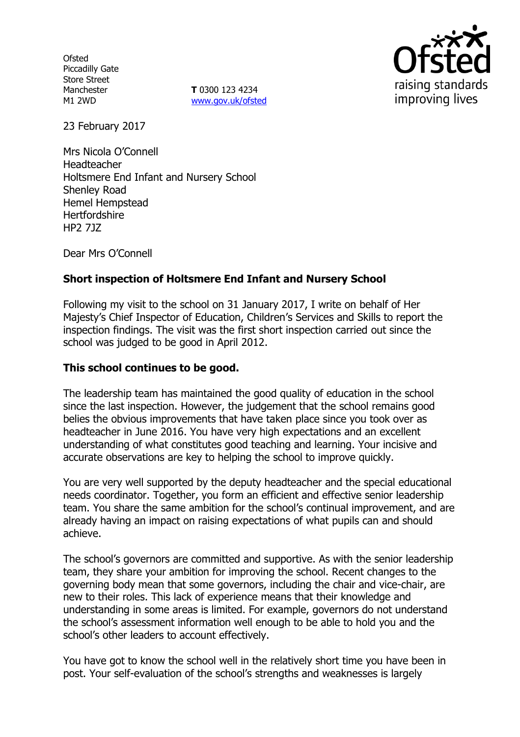**Ofsted** Piccadilly Gate Store Street Manchester M1 2WD

**T** 0300 123 4234 www.gov.uk/ofsted



23 February 2017

Mrs Nicola O'Connell Headteacher Holtsmere End Infant and Nursery School Shenley Road Hemel Hempstead **Hertfordshire** HP2 7JZ

Dear Mrs O'Connell

# **Short inspection of Holtsmere End Infant and Nursery School**

Following my visit to the school on 31 January 2017, I write on behalf of Her Majesty's Chief Inspector of Education, Children's Services and Skills to report the inspection findings. The visit was the first short inspection carried out since the school was judged to be good in April 2012.

## **This school continues to be good.**

The leadership team has maintained the good quality of education in the school since the last inspection. However, the judgement that the school remains good belies the obvious improvements that have taken place since you took over as headteacher in June 2016. You have very high expectations and an excellent understanding of what constitutes good teaching and learning. Your incisive and accurate observations are key to helping the school to improve quickly.

You are very well supported by the deputy headteacher and the special educational needs coordinator. Together, you form an efficient and effective senior leadership team. You share the same ambition for the school's continual improvement, and are already having an impact on raising expectations of what pupils can and should achieve.

The school's governors are committed and supportive. As with the senior leadership team, they share your ambition for improving the school. Recent changes to the governing body mean that some governors, including the chair and vice-chair, are new to their roles. This lack of experience means that their knowledge and understanding in some areas is limited. For example, governors do not understand the school's assessment information well enough to be able to hold you and the school's other leaders to account effectively.

You have got to know the school well in the relatively short time you have been in post. Your self-evaluation of the school's strengths and weaknesses is largely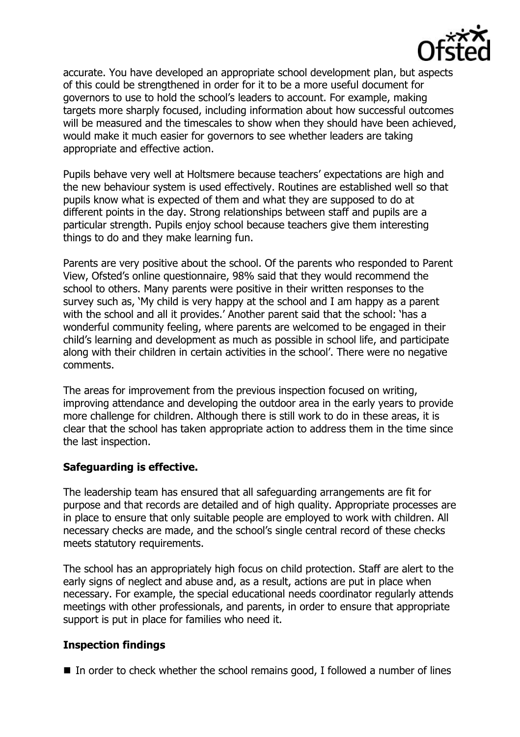

accurate. You have developed an appropriate school development plan, but aspects of this could be strengthened in order for it to be a more useful document for governors to use to hold the school's leaders to account. For example, making targets more sharply focused, including information about how successful outcomes will be measured and the timescales to show when they should have been achieved, would make it much easier for governors to see whether leaders are taking appropriate and effective action.

Pupils behave very well at Holtsmere because teachers' expectations are high and the new behaviour system is used effectively. Routines are established well so that pupils know what is expected of them and what they are supposed to do at different points in the day. Strong relationships between staff and pupils are a particular strength. Pupils enjoy school because teachers give them interesting things to do and they make learning fun.

Parents are very positive about the school. Of the parents who responded to Parent View, Ofsted's online questionnaire, 98% said that they would recommend the school to others. Many parents were positive in their written responses to the survey such as, 'My child is very happy at the school and I am happy as a parent with the school and all it provides.' Another parent said that the school: 'has a wonderful community feeling, where parents are welcomed to be engaged in their child's learning and development as much as possible in school life, and participate along with their children in certain activities in the school'. There were no negative comments.

The areas for improvement from the previous inspection focused on writing, improving attendance and developing the outdoor area in the early years to provide more challenge for children. Although there is still work to do in these areas, it is clear that the school has taken appropriate action to address them in the time since the last inspection.

## **Safeguarding is effective.**

The leadership team has ensured that all safeguarding arrangements are fit for purpose and that records are detailed and of high quality. Appropriate processes are in place to ensure that only suitable people are employed to work with children. All necessary checks are made, and the school's single central record of these checks meets statutory requirements.

The school has an appropriately high focus on child protection. Staff are alert to the early signs of neglect and abuse and, as a result, actions are put in place when necessary. For example, the special educational needs coordinator regularly attends meetings with other professionals, and parents, in order to ensure that appropriate support is put in place for families who need it.

# **Inspection findings**

 $\blacksquare$  In order to check whether the school remains good, I followed a number of lines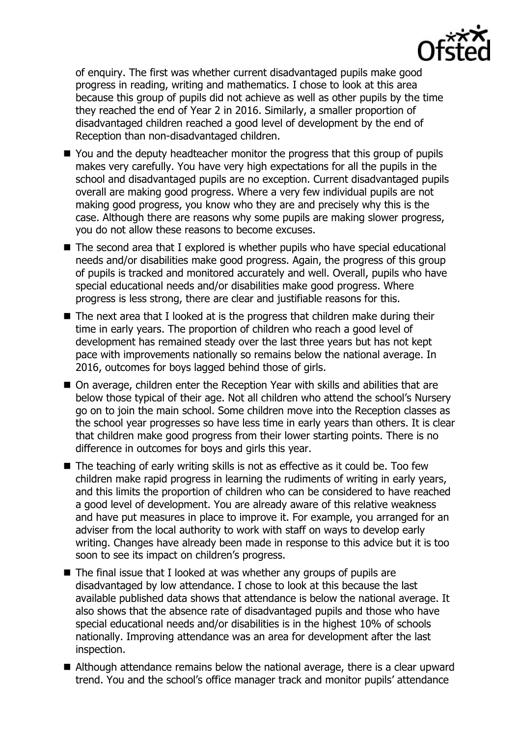

of enquiry. The first was whether current disadvantaged pupils make good progress in reading, writing and mathematics. I chose to look at this area because this group of pupils did not achieve as well as other pupils by the time they reached the end of Year 2 in 2016. Similarly, a smaller proportion of disadvantaged children reached a good level of development by the end of Reception than non-disadvantaged children.

- You and the deputy headteacher monitor the progress that this group of pupils makes very carefully. You have very high expectations for all the pupils in the school and disadvantaged pupils are no exception. Current disadvantaged pupils overall are making good progress. Where a very few individual pupils are not making good progress, you know who they are and precisely why this is the case. Although there are reasons why some pupils are making slower progress, you do not allow these reasons to become excuses.
- The second area that I explored is whether pupils who have special educational needs and/or disabilities make good progress. Again, the progress of this group of pupils is tracked and monitored accurately and well. Overall, pupils who have special educational needs and/or disabilities make good progress. Where progress is less strong, there are clear and justifiable reasons for this.
- $\blacksquare$  The next area that I looked at is the progress that children make during their time in early years. The proportion of children who reach a good level of development has remained steady over the last three years but has not kept pace with improvements nationally so remains below the national average. In 2016, outcomes for boys lagged behind those of girls.
- On average, children enter the Reception Year with skills and abilities that are below those typical of their age. Not all children who attend the school's Nursery go on to join the main school. Some children move into the Reception classes as the school year progresses so have less time in early years than others. It is clear that children make good progress from their lower starting points. There is no difference in outcomes for boys and girls this year.
- $\blacksquare$  The teaching of early writing skills is not as effective as it could be. Too few children make rapid progress in learning the rudiments of writing in early years, and this limits the proportion of children who can be considered to have reached a good level of development. You are already aware of this relative weakness and have put measures in place to improve it. For example, you arranged for an adviser from the local authority to work with staff on ways to develop early writing. Changes have already been made in response to this advice but it is too soon to see its impact on children's progress.
- $\blacksquare$  The final issue that I looked at was whether any groups of pupils are disadvantaged by low attendance. I chose to look at this because the last available published data shows that attendance is below the national average. It also shows that the absence rate of disadvantaged pupils and those who have special educational needs and/or disabilities is in the highest 10% of schools nationally. Improving attendance was an area for development after the last inspection.
- Although attendance remains below the national average, there is a clear upward trend. You and the school's office manager track and monitor pupils' attendance